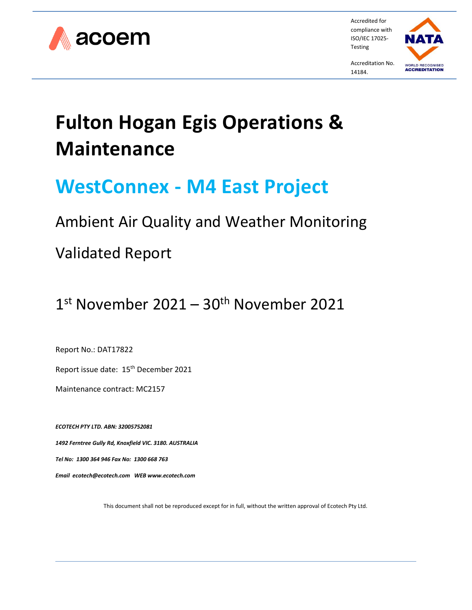

Accredited for compliance with ISO/IEC 17025- Testing



Accreditation No. 14184.

# **Fulton Hogan Egis Operations & Maintenance**

# **WestConnex - M4 East Project**

# Ambient Air Quality and Weather Monitoring

# Validated Report

# 1<sup>st</sup> November 2021 – 30<sup>th</sup> November 2021

Report No.: DAT17822

Report issue date: 15<sup>th</sup> December 2021

Maintenance contract: MC2157

*ECOTECH PTY LTD. ABN: 32005752081 1492 Ferntree Gully Rd, Knoxfield VIC. 3180. AUSTRALIA Tel No: 1300 364 946 Fax No: 1300 668 763 Email [ecotech@ecotech.com](mailto:ecotech@ecotech.com.au) WEB www.ecotech.com*

This document shall not be reproduced except for in full, without the written approval of Ecotech Pty Ltd.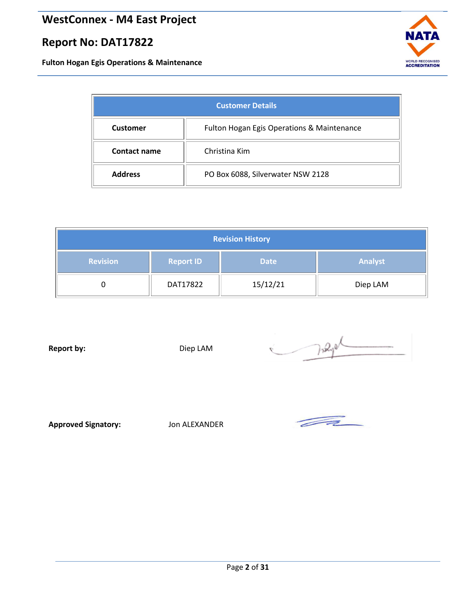**Fulton Hogan Egis Operations & Maintenance**

<span id="page-1-0"></span>

| <b>Customer Details</b>                                       |                                   |  |  |
|---------------------------------------------------------------|-----------------------------------|--|--|
| Fulton Hogan Egis Operations & Maintenance<br><b>Customer</b> |                                   |  |  |
| <b>Contact name</b>                                           | Christina Kim                     |  |  |
| <b>Address</b>                                                | PO Box 6088, Silverwater NSW 2128 |  |  |

<span id="page-1-1"></span>

| <b>Revision History</b> |                  |             |                |  |
|-------------------------|------------------|-------------|----------------|--|
| <b>Revision</b>         | <b>Report ID</b> | <b>Date</b> | <b>Analyst</b> |  |
|                         | DAT17822         | 15/12/21    | Diep LAM       |  |

**Report by:** Diep LAM

Trage

**Approved Signatory:** Jon ALEXANDER

 $\overline{\mathcal{A}}$ 

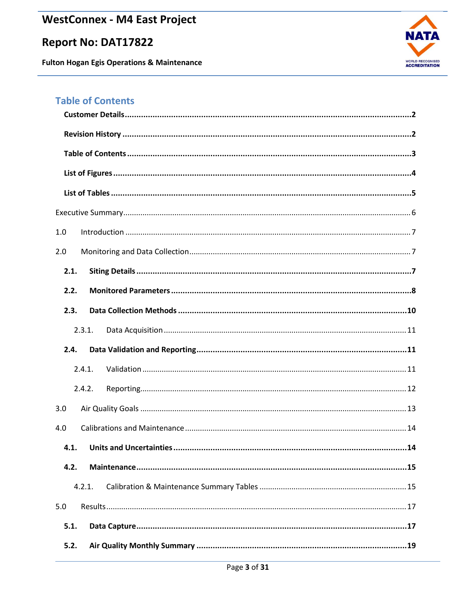# **Report No: DAT17822**

**Fulton Hogan Egis Operations & Maintenance** 



# <span id="page-2-0"></span>**Table of Contents**

| 1.0    |
|--------|
| 2.0    |
| 2.1.   |
| 2.2.   |
| 2.3.   |
| 2.3.1. |
| 2.4.   |
| 2.4.1. |
| 2.4.2. |
| 3.0    |
| 4.0    |
| 4.1.   |
| 4.2.   |
| 4.2.1. |
| 5.0    |
| 5.1.   |
| 5.2.   |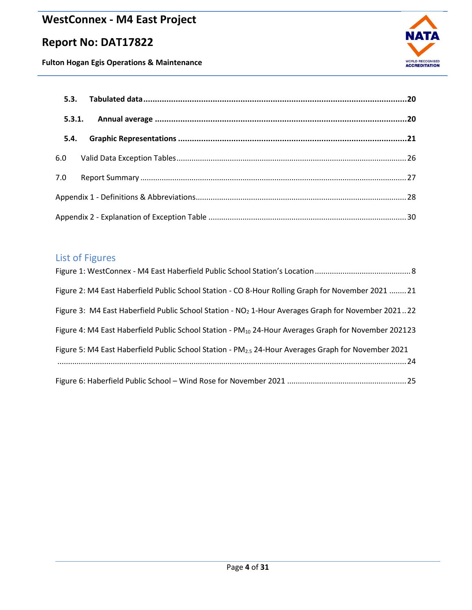# **Report No: DAT17822**





| 5.3.1. |  |
|--------|--|
| 5.4.   |  |
| 6.0    |  |
| 7.0    |  |
|        |  |
|        |  |

# <span id="page-3-0"></span>List of Figures

| Figure 2: M4 East Haberfield Public School Station - CO 8-Hour Rolling Graph for November 2021  21               |
|------------------------------------------------------------------------------------------------------------------|
| Figure 3: M4 East Haberfield Public School Station - NO <sub>2</sub> 1-Hour Averages Graph for November 202122   |
| Figure 4: M4 East Haberfield Public School Station - PM <sub>10</sub> 24-Hour Averages Graph for November 202123 |
| Figure 5: M4 East Haberfield Public School Station - $PM_{2.5}$ 24-Hour Averages Graph for November 2021         |
|                                                                                                                  |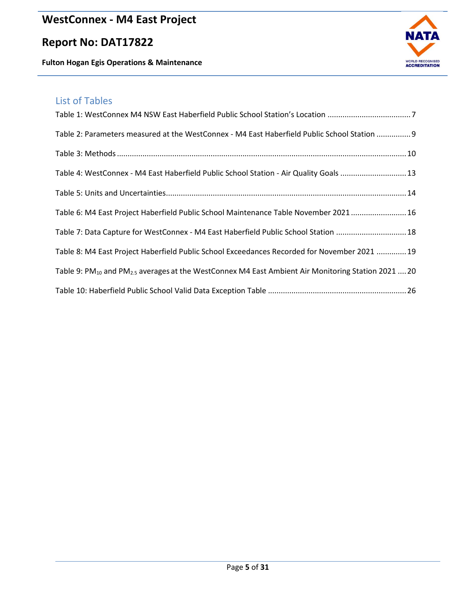# **Report No: DAT17822**

**Fulton Hogan Egis Operations & Maintenance**



# <span id="page-4-0"></span>List of Tables

| Table 2: Parameters measured at the WestConnex - M4 East Haberfield Public School Station  9                               |
|----------------------------------------------------------------------------------------------------------------------------|
|                                                                                                                            |
| Table 4: WestConnex - M4 East Haberfield Public School Station - Air Quality Goals 13                                      |
|                                                                                                                            |
| Table 6: M4 East Project Haberfield Public School Maintenance Table November 2021  16                                      |
| Table 7: Data Capture for WestConnex - M4 East Haberfield Public School Station 18                                         |
| Table 8: M4 East Project Haberfield Public School Exceedances Recorded for November 2021  19                               |
| Table 9: PM <sub>10</sub> and PM <sub>2.5</sub> averages at the WestConnex M4 East Ambient Air Monitoring Station 2021  20 |
|                                                                                                                            |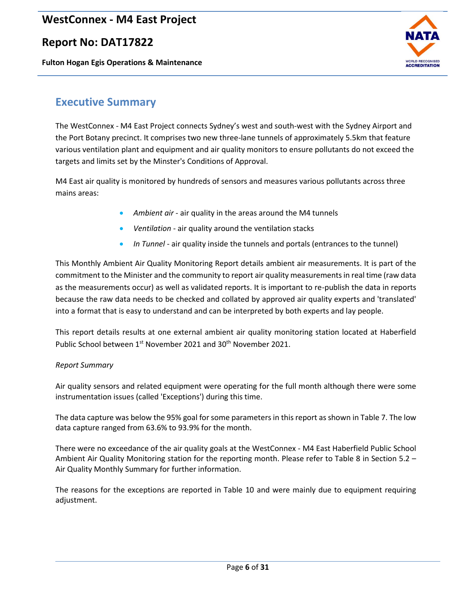## **Report No: DAT17822**

**Fulton Hogan Egis Operations & Maintenance**



## <span id="page-5-0"></span>**Executive Summary**

The WestConnex - M4 East Project connects Sydney's west and south-west with the Sydney Airport and the Port Botany precinct. It comprises two new three-lane tunnels of approximately 5.5km that feature various ventilation plant and equipment and air quality monitors to ensure pollutants do not exceed the targets and limits set by the Minster's Conditions of Approval.

M4 East air quality is monitored by hundreds of sensors and measures various pollutants across three mains areas:

- *Ambient air* air quality in the areas around the M4 tunnels
- *Ventilation* air quality around the ventilation stacks
- *In Tunnel* air quality inside the tunnels and portals (entrances to the tunnel)

This Monthly Ambient Air Quality Monitoring Report details ambient air measurements. It is part of the commitment to the Minister and the community to report air quality measurements in real time (raw data as the measurements occur) as well as validated reports. It is important to re-publish the data in reports because the raw data needs to be checked and collated by approved air quality experts and 'translated' into a format that is easy to understand and can be interpreted by both experts and lay people.

This report details results at one external ambient air quality monitoring station located at Haberfield Public School between 1<sup>st</sup> November 2021 and 30<sup>th</sup> November 2021.

#### *Report Summary*

Air quality sensors and related equipment were operating for the full month although there were some instrumentation issues (called 'Exceptions') during this time.

The data capture was below the 95% goal for some parameters in this report as shown in Table 7. The low data capture ranged from 63.6% to 93.9% for the month.

There were no exceedance of the air quality goals at the WestConnex - M4 East Haberfield Public School Ambient Air Quality Monitoring station for the reporting month. Please refer to Table 8 in Section 5.2 – Air Quality Monthly Summary for further information.

The reasons for the exceptions are reported in Table 10 and were mainly due to equipment requiring adjustment.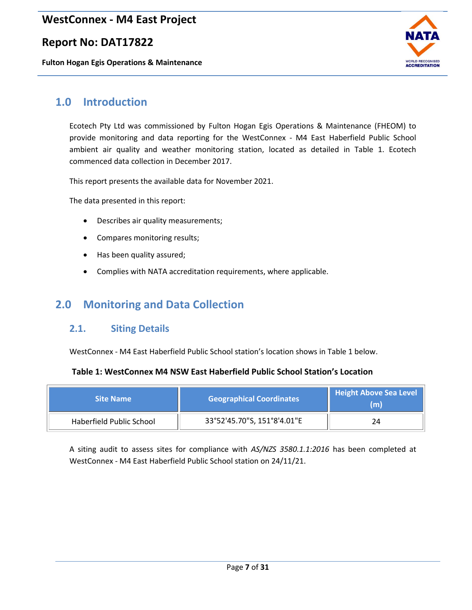### **Report No: DAT17822**

**Fulton Hogan Egis Operations & Maintenance**



# <span id="page-6-0"></span>**1.0 Introduction**

Ecotech Pty Ltd was commissioned by Fulton Hogan Egis Operations & Maintenance (FHEOM) to provide monitoring and data reporting for the WestConnex - M4 East Haberfield Public School ambient air quality and weather monitoring station, located as detailed in Table 1. Ecotech commenced data collection in December 2017.

This report presents the available data for November 2021.

The data presented in this report:

- Describes air quality measurements;
- Compares monitoring results;
- Has been quality assured;
- Complies with NATA accreditation requirements, where applicable.

# <span id="page-6-2"></span><span id="page-6-1"></span>**2.0 Monitoring and Data Collection**

#### **2.1. Siting Details**

WestConnex - M4 East Haberfield Public School station's location shows in Table 1 below.

#### <span id="page-6-3"></span>**Table 1: WestConnex M4 NSW East Haberfield Public School Station's Location**

| <b>Site Name</b>         | <b>Geographical Coordinates</b> | <b>Height Above Sea Level</b><br>(m) |
|--------------------------|---------------------------------|--------------------------------------|
| Haberfield Public School | 33°52'45.70"S, 151°8'4.01"E     |                                      |

A siting audit to assess sites for compliance with *AS/NZS 3580.1.1:2016* has been completed at WestConnex - M4 East Haberfield Public School station on 24/11/21.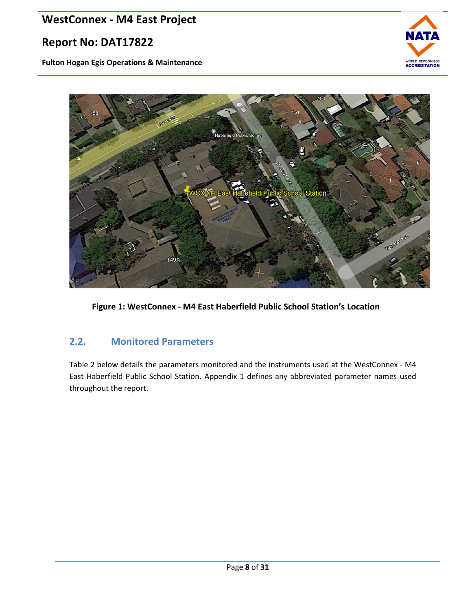# **Report No: DAT17822**

**Fulton Hogan Egis Operations & Maintenance**





<span id="page-7-1"></span>**Figure 1: WestConnex - M4 East Haberfield Public School Station's Location**

### <span id="page-7-0"></span>**2.2. Monitored Parameters**

Table 2 below details the parameters monitored and the instruments used at the WestConnex - M4 East Haberfield Public School Station. Appendix 1 defines any abbreviated parameter names used throughout the report.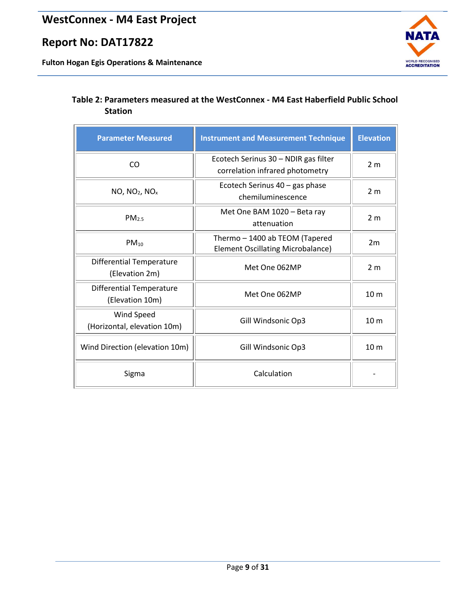**Fulton Hogan Egis Operations & Maintenance**



#### <span id="page-8-0"></span>**Table 2: Parameters measured at the WestConnex - M4 East Haberfield Public School Station**

| <b>Parameter Measured</b>                          | <b>Instrument and Measurement Technique</b>                                | <b>Elevation</b> |
|----------------------------------------------------|----------------------------------------------------------------------------|------------------|
| CO                                                 | Ecotech Serinus 30 - NDIR gas filter<br>correlation infrared photometry    | 2 <sub>m</sub>   |
| $NO$ , $NO2$ , $NOx$                               | Ecotech Serinus 40 - gas phase<br>chemiluminescence                        | 2 <sub>m</sub>   |
| PM <sub>2.5</sub>                                  | Met One BAM 1020 - Beta ray<br>attenuation                                 | 2 <sub>m</sub>   |
| $PM_{10}$                                          | Thermo - 1400 ab TEOM (Tapered<br><b>Element Oscillating Microbalance)</b> | 2m               |
| <b>Differential Temperature</b><br>(Elevation 2m)  | Met One 062MP                                                              | 2 <sub>m</sub>   |
| <b>Differential Temperature</b><br>(Elevation 10m) | Met One 062MP                                                              | 10 <sub>m</sub>  |
| Wind Speed<br>(Horizontal, elevation 10m)          | Gill Windsonic Op3                                                         | 10 <sub>m</sub>  |
| Wind Direction (elevation 10m)                     | Gill Windsonic Op3                                                         | 10 <sub>m</sub>  |
| Sigma                                              | Calculation                                                                |                  |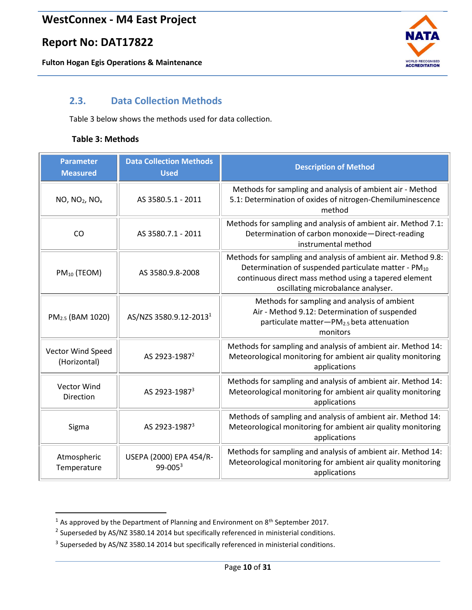**Fulton Hogan Egis Operations & Maintenance**

<span id="page-9-2"></span>

### <span id="page-9-0"></span>**2.3. Data Collection Methods**

[Table](#page-9-2) 3 below shows the methods used for [data collection.](#page-9-2) 

#### <span id="page-9-1"></span>**Table 3: Methods**

| <b>Parameter</b><br><b>Measured</b>    | <b>Data Collection Methods</b><br><b>Used</b> | <b>Description of Method</b>                                                                                                                                                                                                     |
|----------------------------------------|-----------------------------------------------|----------------------------------------------------------------------------------------------------------------------------------------------------------------------------------------------------------------------------------|
| NO, NO <sub>2</sub> , NO <sub>x</sub>  | AS 3580.5.1 - 2011                            | Methods for sampling and analysis of ambient air - Method<br>5.1: Determination of oxides of nitrogen-Chemiluminescence<br>method                                                                                                |
| CO                                     | AS 3580.7.1 - 2011                            | Methods for sampling and analysis of ambient air. Method 7.1:<br>Determination of carbon monoxide-Direct-reading<br>instrumental method                                                                                          |
| $PM_{10}$ (TEOM)                       | AS 3580.9.8-2008                              | Methods for sampling and analysis of ambient air. Method 9.8:<br>Determination of suspended particulate matter - PM <sub>10</sub><br>continuous direct mass method using a tapered element<br>oscillating microbalance analyser. |
| PM <sub>2.5</sub> (BAM 1020)           | AS/NZS 3580.9.12-2013 <sup>1</sup>            | Methods for sampling and analysis of ambient<br>Air - Method 9.12: Determination of suspended<br>particulate matter-PM <sub>2.5</sub> beta attenuation<br>monitors                                                               |
| Vector Wind Speed<br>(Horizontal)      | AS 2923-1987 <sup>2</sup>                     | Methods for sampling and analysis of ambient air. Method 14:<br>Meteorological monitoring for ambient air quality monitoring<br>applications                                                                                     |
| <b>Vector Wind</b><br><b>Direction</b> | AS 2923-1987 <sup>3</sup>                     | Methods for sampling and analysis of ambient air. Method 14:<br>Meteorological monitoring for ambient air quality monitoring<br>applications                                                                                     |
| Sigma                                  | AS 2923-1987 <sup>3</sup>                     | Methods of sampling and analysis of ambient air. Method 14:<br>Meteorological monitoring for ambient air quality monitoring<br>applications                                                                                      |
| Atmospheric<br>Temperature             | USEPA (2000) EPA 454/R-<br>$99 - 0053$        | Methods for sampling and analysis of ambient air. Method 14:<br>Meteorological monitoring for ambient air quality monitoring<br>applications                                                                                     |

 $1$  As approved by the Department of Planning and Environment on  $8<sup>th</sup>$  September 2017.

 $^2$  Superseded by AS/NZ 3580.14 2014 but specifically referenced in ministerial conditions.

 $3$  Superseded by AS/NZ 3580.14 2014 but specifically referenced in ministerial conditions.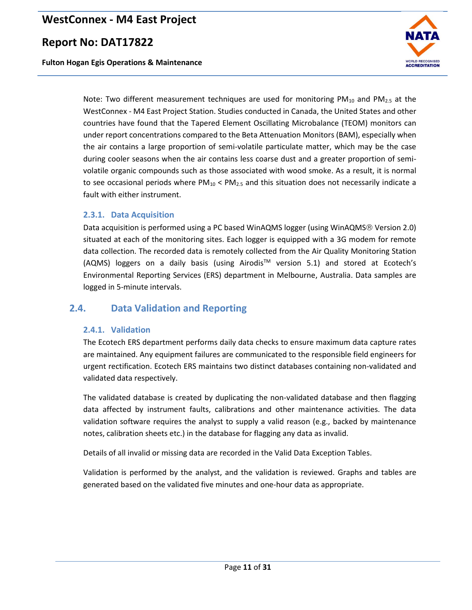### **Report No: DAT17822**

**Fulton Hogan Egis Operations & Maintenance**



Note: Two different measurement techniques are used for monitoring  $PM_{10}$  and  $PM_{2.5}$  at the WestConnex - M4 East Project Station. Studies conducted in Canada, the United States and other countries have found that the Tapered Element Oscillating Microbalance (TEOM) monitors can under report concentrations compared to the Beta Attenuation Monitors (BAM), especially when the air contains a large proportion of semi-volatile particulate matter, which may be the case during cooler seasons when the air contains less coarse dust and a greater proportion of semivolatile organic compounds such as those associated with wood smoke. As a result, it is normal to see occasional periods where  $PM_{10}$  <  $PM_{2.5}$  and this situation does not necessarily indicate a fault with either instrument.

#### <span id="page-10-0"></span>**2.3.1. Data Acquisition**

Data acquisition is performed using a PC based WinAQMS logger (using WinAQMS<sup>®</sup> Version 2.0) situated at each of the monitoring sites. Each logger is equipped with a 3G modem for remote data collection. The recorded data is remotely collected from the Air Quality Monitoring Station (AQMS) loggers on a daily basis (using Airodis™ version 5.1) and stored at Ecotech's Environmental Reporting Services (ERS) department in Melbourne, Australia. Data samples are logged in 5-minute intervals.

### <span id="page-10-2"></span><span id="page-10-1"></span>**2.4. Data Validation and Reporting**

#### **2.4.1. Validation**

The Ecotech ERS department performs daily data checks to ensure maximum data capture rates are maintained. Any equipment failures are communicated to the responsible field engineers for urgent rectification. Ecotech ERS maintains two distinct databases containing non-validated and validated data respectively.

The validated database is created by duplicating the non-validated database and then flagging data affected by instrument faults, calibrations and other maintenance activities. The data validation software requires the analyst to supply a valid reason (e.g., backed by maintenance notes, calibration sheets etc.) in the database for flagging any data as invalid.

Details of all invalid or missing data are recorded in the Valid Data Exception Tables.

Validation is performed by the analyst, and the validation is reviewed. Graphs and tables are generated based on the validated five minutes and one-hour data as appropriate.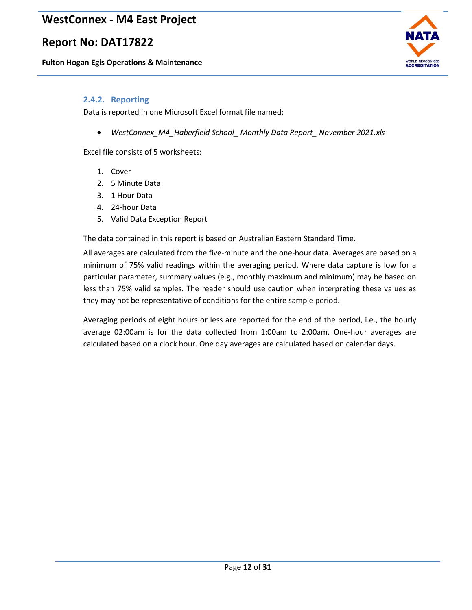## **Report No: DAT17822**

**Fulton Hogan Egis Operations & Maintenance**



#### <span id="page-11-0"></span>**2.4.2. Reporting**

Data is reported in one Microsoft Excel format file named:

• *WestConnex\_M4\_Haberfield School\_ Monthly Data Report\_ November 2021.xls*

Excel file consists of 5 worksheets:

- 1. Cover
- 2. 5 Minute Data
- 3. 1 Hour Data
- 4. 24-hour Data
- 5. Valid Data Exception Report

The data contained in this report is based on Australian Eastern Standard Time.

All averages are calculated from the five-minute and the one-hour data. Averages are based on a minimum of 75% valid readings within the averaging period. Where data capture is low for a particular parameter, summary values (e.g., monthly maximum and minimum) may be based on less than 75% valid samples. The reader should use caution when interpreting these values as they may not be representative of conditions for the entire sample period.

Averaging periods of eight hours or less are reported for the end of the period, i.e., the hourly average 02:00am is for the data collected from 1:00am to 2:00am. One-hour averages are calculated based on a clock hour. One day averages are calculated based on calendar days.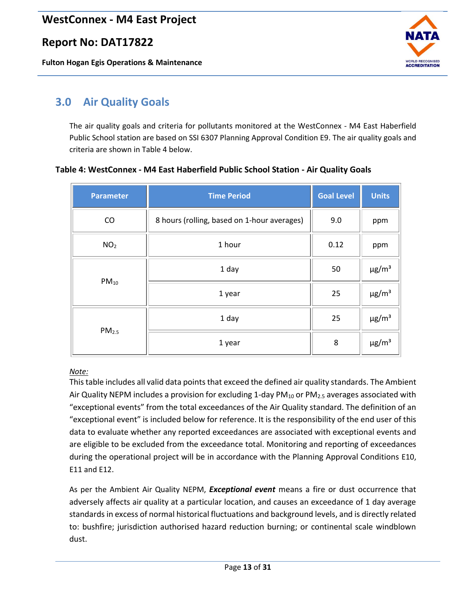### **Report No: DAT17822**

**Fulton Hogan Egis Operations & Maintenance**



# <span id="page-12-0"></span>**3.0 Air Quality Goals**

The air quality goals and criteria for pollutants monitored at the WestConnex - M4 East Haberfield Public School station are based on SSI 6307 Planning Approval Condition E9. The air quality goals and criteria are shown in Table 4 below.

#### <span id="page-12-1"></span>**Table 4: WestConnex - M4 East Haberfield Public School Station - Air Quality Goals**

| <b>Parameter</b>  | <b>Time Period</b>                          | <b>Goal Level</b> | <b>Units</b>           |
|-------------------|---------------------------------------------|-------------------|------------------------|
| CO                | 8 hours (rolling, based on 1-hour averages) | 9.0               | ppm                    |
| NO <sub>2</sub>   | 1 hour                                      | 0.12              | ppm                    |
| $PM_{10}$         | 1 day                                       | 50                | $\mu$ g/m <sup>3</sup> |
|                   | 1 year                                      | 25                | $\mu$ g/m <sup>3</sup> |
| PM <sub>2.5</sub> | 1 day                                       | 25                | $\mu$ g/m <sup>3</sup> |
|                   | 1 year                                      | 8                 | $\mu$ g/m <sup>3</sup> |

#### *Note:*

This table includes all valid data points that exceed the defined air quality standards. The Ambient Air Quality NEPM includes a provision for excluding 1-day  $PM_{10}$  or  $PM_{2.5}$  averages associated with "exceptional events" from the total exceedances of the Air Quality standard. The definition of an "exceptional event" is included below for reference. It is the responsibility of the end user of this data to evaluate whether any reported exceedances are associated with exceptional events and are eligible to be excluded from the exceedance total. Monitoring and reporting of exceedances during the operational project will be in accordance with the Planning Approval Conditions E10, E11 and E12.

As per the Ambient Air Quality NEPM, *Exceptional event* means a fire or dust occurrence that adversely affects air quality at a particular location, and causes an exceedance of 1 day average standards in excess of normal historical fluctuations and background levels, and is directly related to: bushfire; jurisdiction authorised hazard reduction burning; or continental scale windblown dust.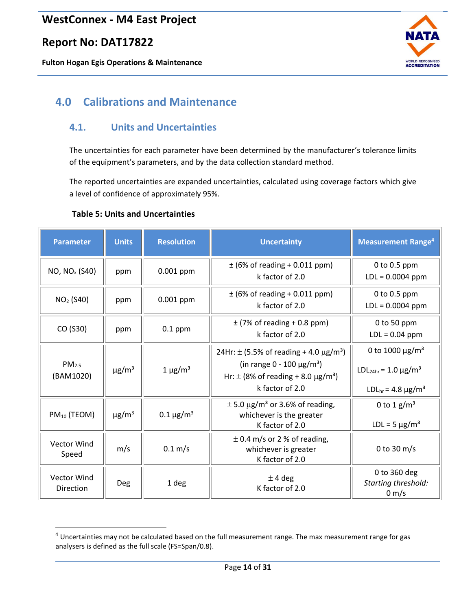### **Report No: DAT17822**

**Fulton Hogan Egis Operations & Maintenance**



# <span id="page-13-0"></span>**4.0 Calibrations and Maintenance**

### <span id="page-13-1"></span>**4.1. Units and Uncertainties**

The uncertainties for each parameter have been determined by the manufacturer's tolerance limits of the equipment's parameters, and by the data collection standard method.

The reported uncertainties are expanded uncertainties, calculated using coverage factors which give a level of confidence of approximately 95%.

#### <span id="page-13-2"></span>**Table 5: Units and Uncertainties**

| <b>Parameter</b>               | <b>Units</b>           | <b>Resolution</b>          | <b>Uncertainty</b>                                                                                                                                                                      | <b>Measurement Range<sup>4</sup></b>                                                                                                   |
|--------------------------------|------------------------|----------------------------|-----------------------------------------------------------------------------------------------------------------------------------------------------------------------------------------|----------------------------------------------------------------------------------------------------------------------------------------|
| NO, NO <sub>x</sub> (S40)      | ppm                    | 0.001 ppm                  | $\pm$ (6% of reading + 0.011 ppm)<br>k factor of $2.0$                                                                                                                                  | 0 to $0.5$ ppm<br>$LDL = 0.0004$ ppm                                                                                                   |
| NO <sub>2</sub> (S40)          | ppm                    | 0.001 ppm                  | $\pm$ (6% of reading + 0.011 ppm)<br>k factor of $2.0$                                                                                                                                  | 0 to $0.5$ ppm<br>$LDL = 0.0004$ ppm                                                                                                   |
| CO (S30)                       | ppm                    | $0.1$ ppm                  | $\pm$ (7% of reading + 0.8 ppm)<br>k factor of 2.0                                                                                                                                      | 0 to 50 ppm<br>$LDL = 0.04$ ppm                                                                                                        |
| PM <sub>2.5</sub><br>(BAM1020) | $\mu$ g/m <sup>3</sup> | $1 \mu g/m^3$              | 24Hr: $\pm$ (5.5% of reading + 4.0 $\mu$ g/m <sup>3</sup> )<br>(in range 0 - 100 $\mu$ g/m <sup>3</sup> )<br>Hr: $\pm$ (8% of reading + 8.0 $\mu$ g/m <sup>3</sup> )<br>k factor of 2.0 | 0 to 1000 $\mu$ g/m <sup>3</sup><br>LDL <sub>24hr</sub> = 1.0 $\mu$ g/m <sup>3</sup><br>LDL <sub>hr</sub> = 4.8 $\mu$ g/m <sup>3</sup> |
| PM <sub>10</sub> (TEOM)        | $\mu$ g/m <sup>3</sup> | $0.1 \,\mathrm{\mu g/m^3}$ | $\pm$ 5.0 $\mu$ g/m <sup>3</sup> or 3.6% of reading,<br>whichever is the greater<br>K factor of 2.0                                                                                     | 0 to 1 $g/m^3$<br>LDL = $5 \mu g/m^3$                                                                                                  |
| <b>Vector Wind</b><br>Speed    | m/s                    | $0.1 \, \text{m/s}$        | $\pm$ 0.4 m/s or 2 % of reading,<br>whichever is greater<br>K factor of 2.0                                                                                                             | 0 to 30 $m/s$                                                                                                                          |
| Vector Wind<br>Direction       | Deg                    | 1 deg                      | $±$ 4 deg<br>K factor of 2.0                                                                                                                                                            | 0 to 360 deg<br>Starting threshold:<br>$0 \text{ m/s}$                                                                                 |

<sup>4</sup> Uncertainties may not be calculated based on the full measurement range. The max measurement range for gas analysers is defined as the full scale (FS=Span/0.8).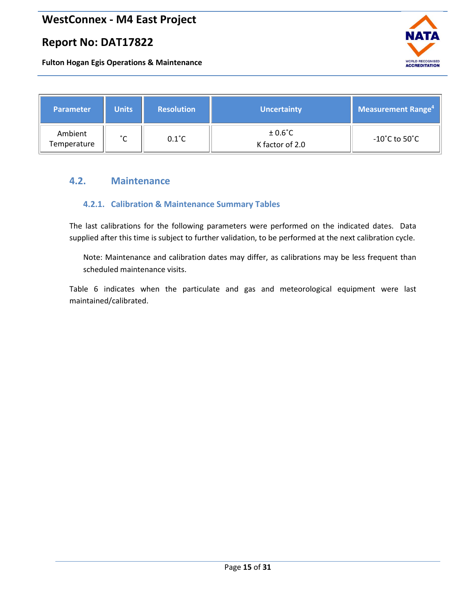# **Report No: DAT17822**

**Fulton Hogan Egis Operations & Maintenance**



| <b>Parameter</b>       | <b>Units</b> | <b>Resolution</b> | <b>Uncertainty</b>                  | <b>Measurement Range</b> <sup>4</sup> |
|------------------------|--------------|-------------------|-------------------------------------|---------------------------------------|
| Ambient<br>Temperature | °∩           | $0.1^{\circ}$ C   | $±0.6^{\circ}$ C<br>K factor of 2.0 | -10 $^{\circ}$ C to 50 $^{\circ}$ C   |

#### <span id="page-14-1"></span><span id="page-14-0"></span>**4.2. Maintenance**

#### **4.2.1. Calibration & Maintenance Summary Tables**

The last calibrations for the following parameters were performed on the indicated dates. Data supplied after this time is subject to further validation, to be performed at the next calibration cycle.

Note: Maintenance and calibration dates may differ, as calibrations may be less frequent than scheduled maintenance visits.

Table 6 indicates when the particulate and gas and meteorological equipment were last maintained/calibrated.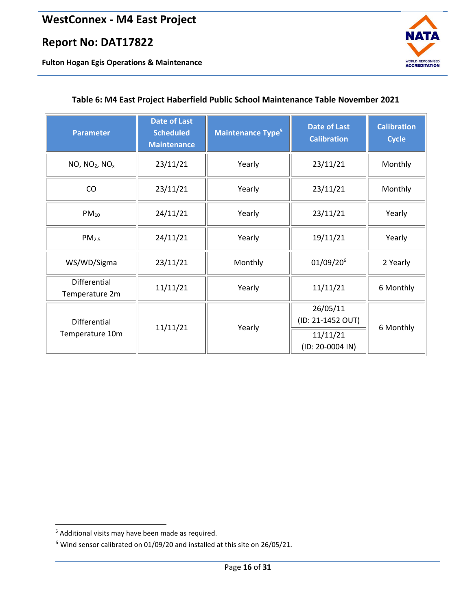**Fulton Hogan Egis Operations & Maintenance**



| <b>Parameter</b>                      | <b>Date of Last</b><br><b>Scheduled</b><br><b>Maintenance</b> | <b>Maintenance Type<sup>5</sup></b> | <b>Date of Last</b><br><b>Calibration</b> | <b>Calibration</b><br><b>Cycle</b> |  |
|---------------------------------------|---------------------------------------------------------------|-------------------------------------|-------------------------------------------|------------------------------------|--|
| NO, NO <sub>2</sub> , NO <sub>x</sub> | 23/11/21                                                      | Yearly                              | 23/11/21                                  | Monthly                            |  |
| CO                                    | 23/11/21                                                      | Yearly                              | 23/11/21                                  | Monthly                            |  |
| $PM_{10}$                             | 24/11/21                                                      | Yearly                              | 23/11/21                                  | Yearly                             |  |
| PM <sub>2.5</sub>                     | 24/11/21                                                      | Yearly                              | 19/11/21                                  | Yearly                             |  |
| WS/WD/Sigma                           | 23/11/21                                                      | Monthly                             | 01/09/20 <sup>6</sup>                     | 2 Yearly                           |  |
| Differential<br>Temperature 2m        | 11/11/21                                                      | Yearly                              | 11/11/21                                  | 6 Monthly                          |  |
| Differential                          | 11/11/21                                                      | Yearly                              | 26/05/11<br>(ID: 21-1452 OUT)             | 6 Monthly                          |  |
| Temperature 10m                       |                                                               |                                     | 11/11/21<br>(ID: 20-0004 IN)              |                                    |  |

#### <span id="page-15-0"></span>**Table 6: M4 East Project Haberfield Public School Maintenance Table November 2021**

<sup>5</sup> Additional visits may have been made as required.

<sup>6</sup> Wind sensor calibrated on 01/09/20 and installed at this site on 26/05/21.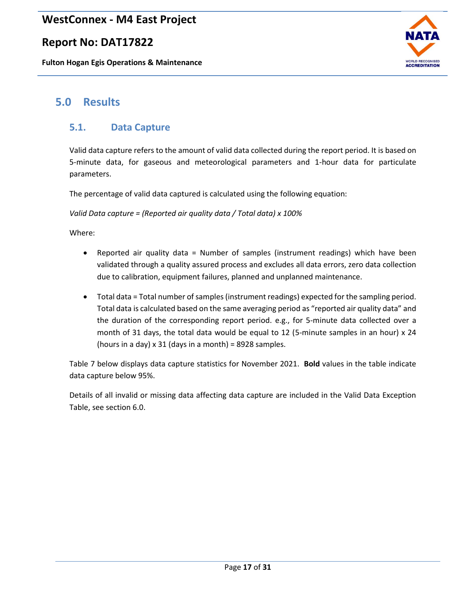### **Report No: DAT17822**

**Fulton Hogan Egis Operations & Maintenance**



# <span id="page-16-0"></span>**5.0 Results**

### <span id="page-16-1"></span>**5.1. Data Capture**

Valid data capture refers to the amount of valid data collected during the report period. It is based on 5-minute data, for gaseous and meteorological parameters and 1-hour data for particulate parameters.

The percentage of valid data captured is calculated using the following equation:

*Valid Data capture = (Reported air quality data / Total data) x 100%*

Where:

- Reported air quality data = Number of samples (instrument readings) which have been validated through a quality assured process and excludes all data errors, zero data collection due to calibration, equipment failures, planned and unplanned maintenance.
- Total data = Total number of samples (instrument readings) expected for the sampling period. Total data is calculated based on the same averaging period as "reported air quality data" and the duration of the corresponding report period. e.g., for 5-minute data collected over a month of 31 days, the total data would be equal to 12 (5-minute samples in an hour) x 24 (hours in a day)  $x$  31 (days in a month) = 8928 samples.

Table 7 below displays data capture statistics for November 2021. **Bold** values in the table indicate data capture below 95%.

Details of all invalid or missing data affecting data capture are included in the Valid Data Exception Table, see section 6.0.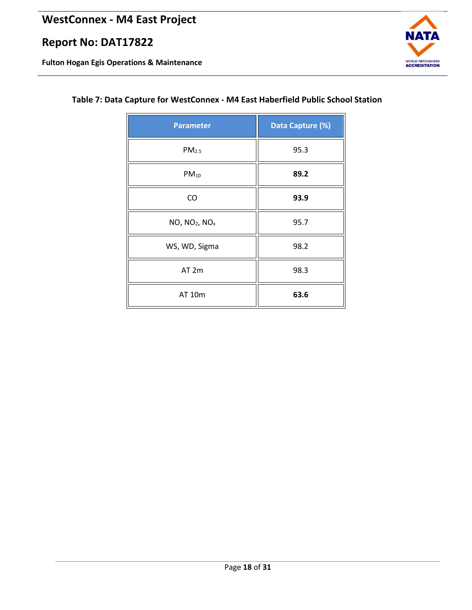**Fulton Hogan Egis Operations & Maintenance**



### <span id="page-17-0"></span>**Table 7: Data Capture for WestConnex - M4 East Haberfield Public School Station**

| <b>Parameter</b>                      | Data Capture (%) |  |
|---------------------------------------|------------------|--|
| PM <sub>2.5</sub>                     | 95.3             |  |
| $PM_{10}$                             | 89.2             |  |
| CO                                    | 93.9             |  |
| NO, NO <sub>2</sub> , NO <sub>x</sub> | 95.7             |  |
| WS, WD, Sigma                         | 98.2             |  |
| AT 2m                                 | 98.3             |  |
| AT 10m                                | 63.6             |  |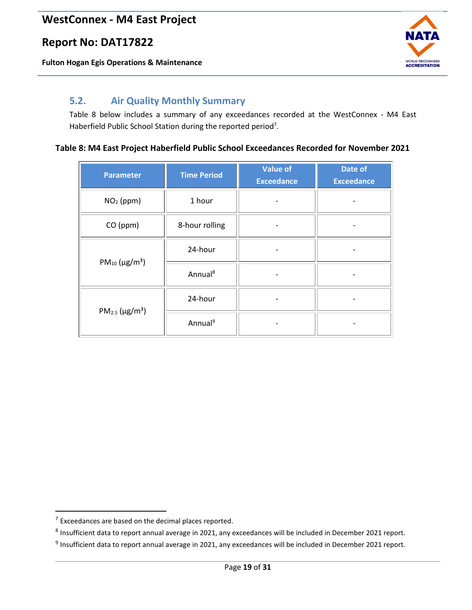**Fulton Hogan Egis Operations & Maintenance**



### <span id="page-18-0"></span>**5.2. Air Quality Monthly Summary**

Table 8 below includes a summary of any exceedances recorded at the WestConnex - M4 East Haberfield Public School Station during the reported period<sup>7</sup>.

#### <span id="page-18-1"></span>**Table 8: M4 East Project Haberfield Public School Exceedances Recorded for November 2021**

| <b>Parameter</b>                | <b>Time Period</b>  | <b>Value of</b><br><b>Exceedance</b> | Date of<br><b>Exceedance</b> |
|---------------------------------|---------------------|--------------------------------------|------------------------------|
| $NO2$ (ppm)                     | 1 hour              |                                      |                              |
| CO (ppm)                        | 8-hour rolling      |                                      |                              |
| $PM_{10} (\mu g/m^3)$           | 24-hour             |                                      |                              |
|                                 | Annual <sup>8</sup> |                                      |                              |
|                                 | 24-hour             |                                      |                              |
| $PM_{2.5}$ (µg/m <sup>3</sup> ) | Annual <sup>9</sup> |                                      |                              |

 $7$  Exceedances are based on the decimal places reported.

 $^8$  Insufficient data to report annual average in 2021, any exceedances will be included in December 2021 report.

<sup>&</sup>lt;sup>9</sup> Insufficient data to report annual average in 2021, any exceedances will be included in December 2021 report.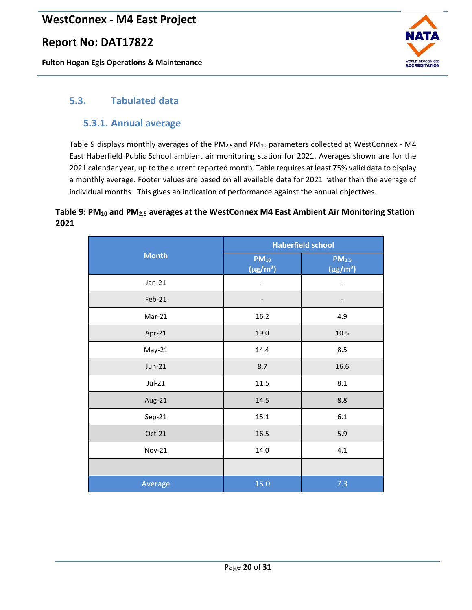## **Report No: DAT17822**

**Fulton Hogan Egis Operations & Maintenance**



### <span id="page-19-1"></span><span id="page-19-0"></span>**5.3. Tabulated data**

#### **5.3.1. Annual average**

[Table 9](#page-19-2) displays monthly averages of the PM<sub>2.5</sub> and PM<sub>10</sub> parameters collected at WestConnex - M4 East Haberfield Public School ambient air monitoring station for 2021. Averages shown are for the 2021 calendar year, up to the current reported month. Table requires at least 75% valid data to display a monthly average. Footer values are based on all available data for 2021 rather than the average of individual months. This gives an indication of performance against the annual objectives.

#### <span id="page-19-2"></span>**Table 9: PM<sup>10</sup> and PM2.5 averages at the WestConnex M4 East Ambient Air Monitoring Station 2021**

|               | <b>Haberfield school</b>   |                                    |  |
|---------------|----------------------------|------------------------------------|--|
| <b>Month</b>  | $PM_{10}$<br>$(\mu g/m^3)$ | PM <sub>2.5</sub><br>$(\mu g/m^3)$ |  |
| $Jan-21$      |                            |                                    |  |
| Feb-21        | -                          | -                                  |  |
| Mar-21        | 16.2                       | 4.9                                |  |
| Apr-21        | 19.0                       | 10.5                               |  |
| May-21        | 14.4                       | 8.5                                |  |
| $Jun-21$      | 8.7                        | 16.6                               |  |
| $Jul-21$      | 11.5                       | 8.1                                |  |
| Aug-21        | 14.5                       | 8.8                                |  |
| $Sep-21$      | 15.1                       | $6.1\,$                            |  |
| Oct-21        | 16.5                       | 5.9                                |  |
| <b>Nov-21</b> | 14.0                       | 4.1                                |  |
|               |                            |                                    |  |
| Average       | 15.0                       | 7.3                                |  |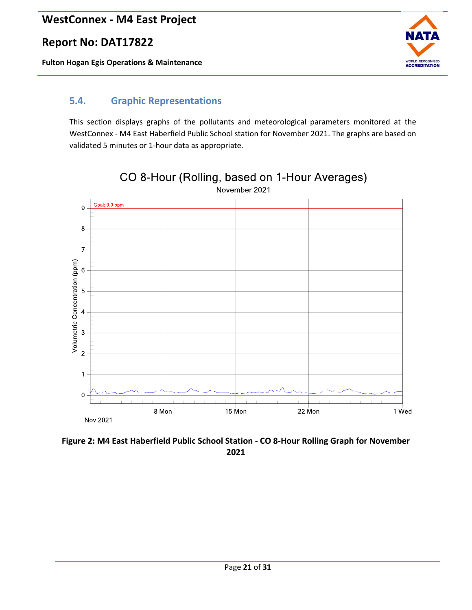**Fulton Hogan Egis Operations & Maintenance**



### <span id="page-20-0"></span>**5.4. Graphic Representations**

This section displays graphs of the pollutants and meteorological parameters monitored at the WestConnex - M4 East Haberfield Public School station for November 2021. The graphs are based on validated 5 minutes or 1-hour data as appropriate.



CO 8-Hour (Rolling, based on 1-Hour Averages) November 2021

<span id="page-20-1"></span>**Figure 2: M4 East Haberfield Public School Station - CO 8-Hour Rolling Graph for November 2021**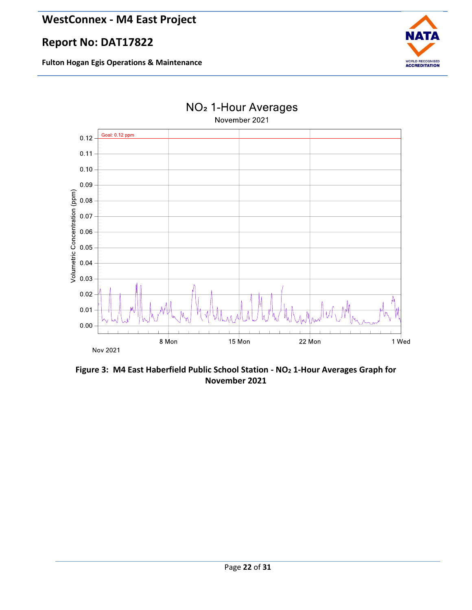



<span id="page-21-0"></span>**Figure 3: M4 East Haberfield Public School Station - NO<sup>2</sup> 1-Hour Averages Graph for November 2021**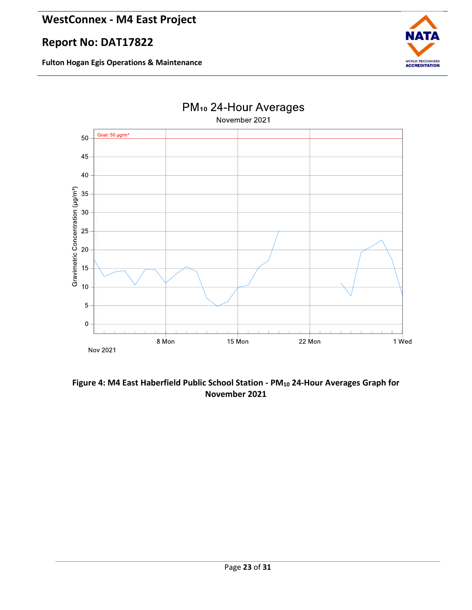



<span id="page-22-0"></span>**Figure 4: M4 East Haberfield Public School Station - PM<sup>10</sup> 24-Hour Averages Graph for November 2021**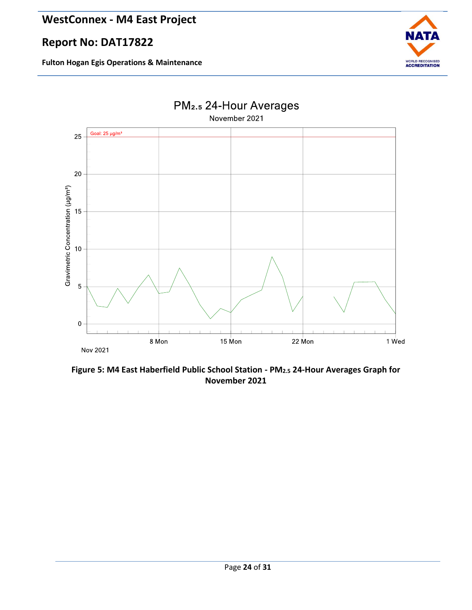# **Report No: DAT17822**





<span id="page-23-0"></span>**Figure 5: M4 East Haberfield Public School Station - PM2.5 24-Hour Averages Graph for November 2021**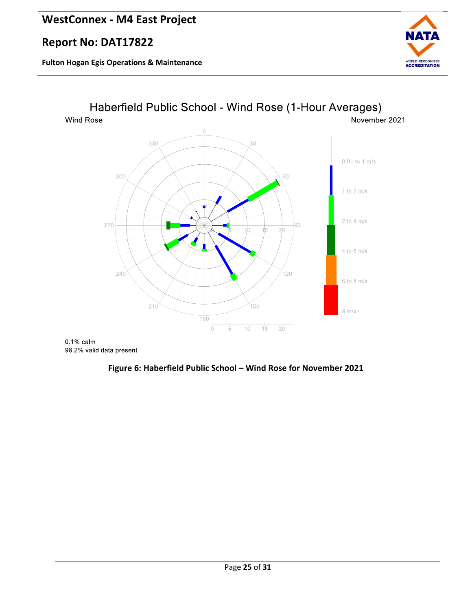## **Report No: DAT17822**

**Fulton Hogan Egis Operations & Maintenance**





<span id="page-24-0"></span> $0.1\%$  calm 98.2% valid data present

#### **Figure 6: Haberfield Public School – Wind Rose for November 2021**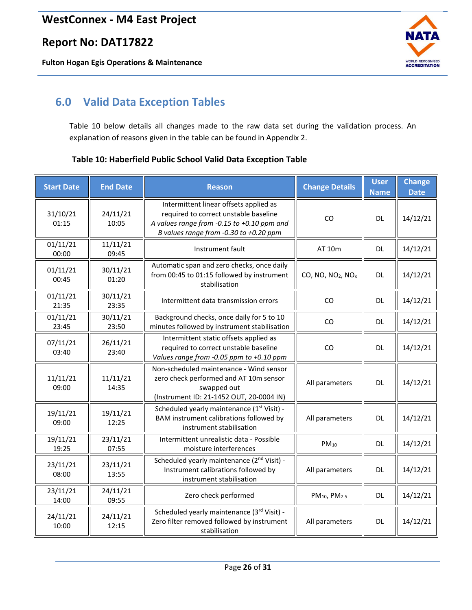**Fulton Hogan Egis Operations & Maintenance**



# <span id="page-25-0"></span>**6.0 Valid Data Exception Tables**

Table 10 below details all changes made to the raw data set during the validation process. An explanation of reasons given in the table can be found in Appendix 2.

#### <span id="page-25-1"></span>**Table 10: Haberfield Public School Valid Data Exception Table**

| <b>Start Date</b> | <b>End Date</b>   | <b>Reason</b>                                                                                                                                                           | <b>Change Details</b>                     | <b>User</b><br><b>Name</b> | <b>Change</b><br><b>Date</b> |
|-------------------|-------------------|-------------------------------------------------------------------------------------------------------------------------------------------------------------------------|-------------------------------------------|----------------------------|------------------------------|
| 31/10/21<br>01:15 | 24/11/21<br>10:05 | Intermittent linear offsets applied as<br>required to correct unstable baseline<br>A values range from -0.15 to +0.10 ppm and<br>B values range from -0.30 to +0.20 ppm | CO                                        | <b>DL</b>                  | 14/12/21                     |
| 01/11/21<br>00:00 | 11/11/21<br>09:45 | Instrument fault                                                                                                                                                        | AT 10m                                    | <b>DL</b>                  | 14/12/21                     |
| 01/11/21<br>00:45 | 30/11/21<br>01:20 | Automatic span and zero checks, once daily<br>from 00:45 to 01:15 followed by instrument<br>stabilisation                                                               | CO, NO, NO <sub>2</sub> , NO <sub>x</sub> | DL                         | 14/12/21                     |
| 01/11/21<br>21:35 | 30/11/21<br>23:35 | Intermittent data transmission errors                                                                                                                                   | CO                                        | DL                         | 14/12/21                     |
| 01/11/21<br>23:45 | 30/11/21<br>23:50 | Background checks, once daily for 5 to 10<br>minutes followed by instrument stabilisation                                                                               | CO                                        | <b>DL</b>                  | 14/12/21                     |
| 07/11/21<br>03:40 | 26/11/21<br>23:40 | Intermittent static offsets applied as<br>required to correct unstable baseline<br>Values range from -0.05 ppm to +0.10 ppm                                             | CO                                        | DL                         | 14/12/21                     |
| 11/11/21<br>09:00 | 11/11/21<br>14:35 | Non-scheduled maintenance - Wind sensor<br>zero check performed and AT 10m sensor<br>swapped out<br>(Instrument ID: 21-1452 OUT, 20-0004 IN)                            | All parameters                            | <b>DL</b>                  | 14/12/21                     |
| 19/11/21<br>09:00 | 19/11/21<br>12:25 | Scheduled yearly maintenance (1st Visit) -<br>BAM instrument calibrations followed by<br>instrument stabilisation                                                       | All parameters                            | <b>DL</b>                  | 14/12/21                     |
| 19/11/21<br>19:25 | 23/11/21<br>07:55 | Intermittent unrealistic data - Possible<br>moisture interferences                                                                                                      | $PM_{10}$                                 | DL.                        | 14/12/21                     |
| 23/11/21<br>08:00 | 23/11/21<br>13:55 | Scheduled yearly maintenance (2 <sup>nd</sup> Visit) -<br>Instrument calibrations followed by<br>instrument stabilisation                                               | All parameters                            | <b>DL</b>                  | 14/12/21                     |
| 23/11/21<br>14:00 | 24/11/21<br>09:55 | Zero check performed                                                                                                                                                    | PM <sub>10</sub> , PM <sub>2.5</sub>      | <b>DL</b>                  | 14/12/21                     |
| 24/11/21<br>10:00 | 24/11/21<br>12:15 | Scheduled yearly maintenance (3rd Visit) -<br>Zero filter removed followed by instrument<br>stabilisation                                                               | All parameters                            | <b>DL</b>                  | 14/12/21                     |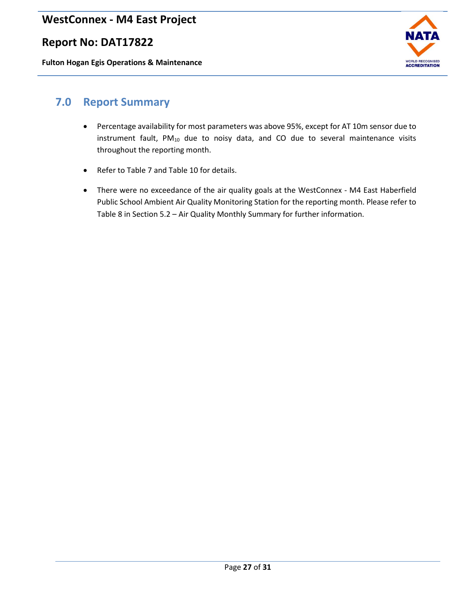### **Report No: DAT17822**

**Fulton Hogan Egis Operations & Maintenance**



## <span id="page-26-0"></span>**7.0 Report Summary**

- Percentage availability for most parameters was above 95%, except for AT 10m sensor due to instrument fault,  $PM_{10}$  due to noisy data, and CO due to several maintenance visits throughout the reporting month.
- Refer to Table 7 and Table 10 for details.
- There were no exceedance of the air quality goals at the WestConnex M4 East Haberfield Public School Ambient Air Quality Monitoring Station for the reporting month. Please refer to Table 8 in Section 5.2 – Air Quality Monthly Summary for further information.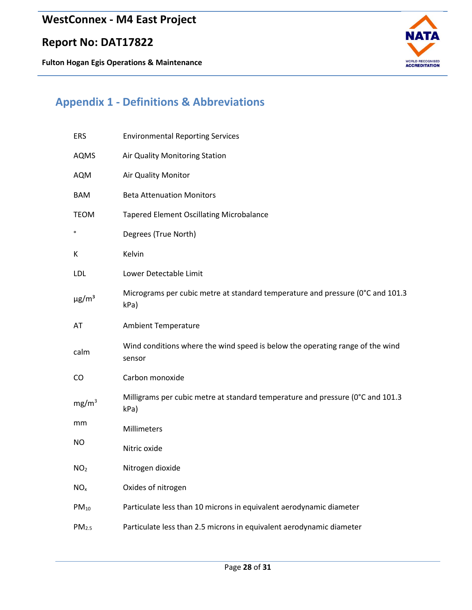**Fulton Hogan Egis Operations & Maintenance**



# <span id="page-27-0"></span>**Appendix 1 - Definitions & Abbreviations**

| <b>ERS</b>             | <b>Environmental Reporting Services</b>                                                 |
|------------------------|-----------------------------------------------------------------------------------------|
| <b>AQMS</b>            | Air Quality Monitoring Station                                                          |
| <b>AQM</b>             | Air Quality Monitor                                                                     |
| <b>BAM</b>             | <b>Beta Attenuation Monitors</b>                                                        |
| <b>TEOM</b>            | <b>Tapered Element Oscillating Microbalance</b>                                         |
| $\mathbf{o}$           | Degrees (True North)                                                                    |
| К                      | Kelvin                                                                                  |
| <b>LDL</b>             | Lower Detectable Limit                                                                  |
| $\mu$ g/m <sup>3</sup> | Micrograms per cubic metre at standard temperature and pressure (0°C and 101.3<br>kPa)  |
| AT                     | <b>Ambient Temperature</b>                                                              |
| calm                   | Wind conditions where the wind speed is below the operating range of the wind<br>sensor |
| CO                     | Carbon monoxide                                                                         |
| mg/m <sup>3</sup>      | Milligrams per cubic metre at standard temperature and pressure (0°C and 101.3<br>kPa)  |
| mm                     | Millimeters                                                                             |
| <b>NO</b>              | Nitric oxide                                                                            |
| NO <sub>2</sub>        | Nitrogen dioxide                                                                        |
| NO <sub>x</sub>        | Oxides of nitrogen                                                                      |
| $PM_{10}$              | Particulate less than 10 microns in equivalent aerodynamic diameter                     |
| PM <sub>2.5</sub>      | Particulate less than 2.5 microns in equivalent aerodynamic diameter                    |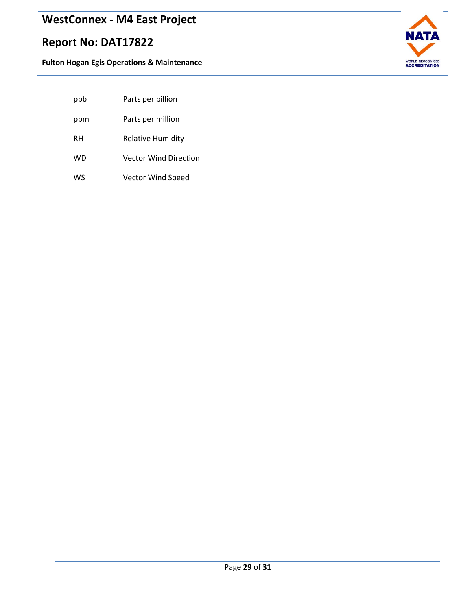# **Report No: DAT17822**



| Parts per billion |
|-------------------|
|                   |

- ppm Parts per million
- RH Relative Humidity
- WD Vector Wind Direction
- WS Vector Wind Speed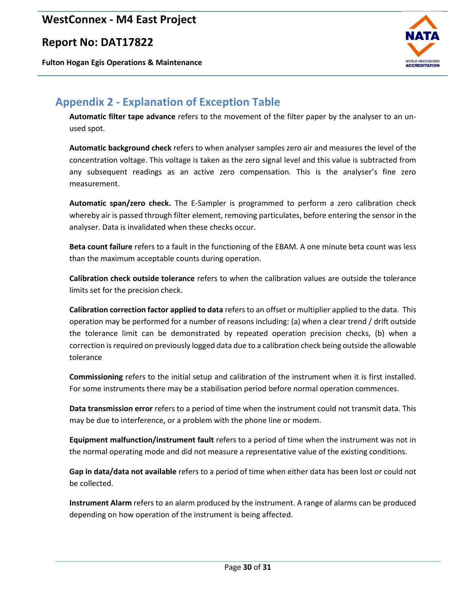### **Report No: DAT17822**

**Fulton Hogan Egis Operations & Maintenance**



# <span id="page-29-0"></span>**Appendix 2 - Explanation of Exception Table**

**Automatic filter tape advance** refers to the movement of the filter paper by the analyser to an unused spot.

**Automatic background check** refers to when analyser samples zero air and measures the level of the concentration voltage. This voltage is taken as the zero signal level and this value is subtracted from any subsequent readings as an active zero compensation. This is the analyser's fine zero measurement.

**Automatic span/zero check.** The E-Sampler is programmed to perform a zero calibration check whereby air is passed through filter element, removing particulates, before entering the sensor in the analyser. Data is invalidated when these checks occur.

**Beta count failure** refers to a fault in the functioning of the EBAM. A one minute beta count was less than the maximum acceptable counts during operation.

**Calibration check outside tolerance** refers to when the calibration values are outside the tolerance limits set for the precision check.

**Calibration correction factor applied to data** refers to an offset or multiplier applied to the data. This operation may be performed for a number of reasons including: (a) when a clear trend / drift outside the tolerance limit can be demonstrated by repeated operation precision checks, (b) when a correction is required on previously logged data due to a calibration check being outside the allowable tolerance

**Commissioning** refers to the initial setup and calibration of the instrument when it is first installed. For some instruments there may be a stabilisation period before normal operation commences.

**Data transmission error** refers to a period of time when the instrument could not transmit data. This may be due to interference, or a problem with the phone line or modem.

**Equipment malfunction/instrument fault** refers to a period of time when the instrument was not in the normal operating mode and did not measure a representative value of the existing conditions.

**Gap in data/data not available** refers to a period of time when either data has been lost or could not be collected.

**Instrument Alarm** refers to an alarm produced by the instrument. A range of alarms can be produced depending on how operation of the instrument is being affected.